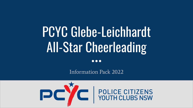# PCYC Glebe-Leichhardt All-Star Cheerleading

 $\bullet\bullet\bullet$ 

Information Pack 2022

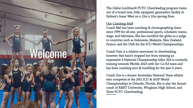# Welcome

The Glebe-Leichhardt PCYC Cheerleading program trains out of a brand new, fully equipped, gymnastics facility in Sydney's Inner West on a 12m x 12m sprung floor.

#### **Our Coaching Staff**

Coach Mel has been coaching & choreographing cheer since 1999 for all-star, professional sports, scholastic teams, stage, and television. She has travelled the globe as a judge to countries such as Indonesia, Malaysia, New Zealand, France, and the USA for the ICU World Championships.

Coach Gaia is a relative newcomer to cheerleading, however that hasn't stopped her from winning an impressive 4 National Championship titles. She is currently training towards Worlds 2023 with her Co-Ed team and has been coaching acro & tumbling for the past 4 years.

Coach Zoe is a former Australian National Team athlete who competed at the 2011 ICU & IASF World Championships in Orlando, Florida. She is also the former coach of RMIT University, Wingham High School, and Taree PCYC Cheerleading.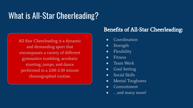# What is All-Star Cheerleading?

All-Star Cheerleading is a dynamic and demanding sport that encompasses a variety of different gymnastics tumbling, acrobatic stunting, jumps, and dance performed in a 2:00-2:30 minute choreographed routine.

### Benefits of All-Star Cheerleading:

- Coordination
- Strength
- Flexibility
- **Fitness**
- Team Work
- Goal Setting
- Social Skills
- Mental Toughness
- Commitment
- ... and many more!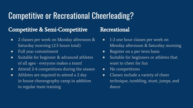## Competitive or Recreational Cheerleading?

### Competitive & Semi-Competitive

- 2 classes per week on Monday afternoon & Saturday morning (2.5 hours total)
- Full year commitment
- Suitable for beginner & advanced athletes of all ages - everyone makes a team!
- Attend 2-4 competitions during the season
- Athletes are required to attend a 2 day in-house choreography camp in addition to regular team training

### Recreational

- 1-2 one hour classes per week on Monday afternoon & Saturday morning
- Register on a per term basis
- Suitable for beginners or athletes that want to cheer for fun
- No competitions
- Classes include a variety of cheer technique, tumbling, stunt, jumps, and dance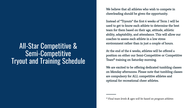## All-Star Competitive & Semi-Competitive Tryout and Training Schedule

We believe that all athletes who wish to compete in cheerleading should be given the opportunity.

Instead of "Tryouts" the first 6 weeks of Term 1 will be used to get to know each athlete to determine the best team for them based on their age, attitude, athletic ability, adaptability, and attendance. This will allow our coaches to assess each athlete in a low stress environment rather than in just a couple of hours.

At the end of the 6 weeks, athletes will be offered a position on either our Semi-Competitive or Competitive Team\* training on Saturday morning.

We are excited to be offering dedicated tumbling classes on Monday afternoons. Please note that tumbling classes are compulsory for ALL competitive athletes and optional for recreational cheer athletes.

<sup>\*</sup> Final team levels & ages will be based on program athletes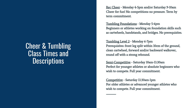### Cheer & Tumbling Class Times and **Descriptions**

Rec Cheer - Monday 4-5pm and/or Saturday 9-10am Cheer for fun! No competitions no pressure. Term by term commitment.

Tumbling Foundations - Monday 5-6pm Beginners or athletes working on foundation skills such as cartwheels, handstands, and bridges. No prerequisites.

Tumbling Level 2 - Monday 6-7pm Prerequisites: front leg split within 10cm of the ground, clean cartwheel, forward and/or backward walkover, round off with a strong rebound.

Semi-Competitive - Saturday 10am-11:30am Perfect for younger athletes or absolute beginners who wish to compete. Full year commitment.

Competitive - Saturday 11:30am-1pm For older athletes or advanced younger athletes who wish to compete. Full year commitment.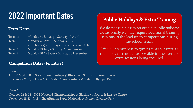# 2022 Important Dates

#### Term Dates

| Term 1: | Monday 31 January - Sunday 10 April            |
|---------|------------------------------------------------|
| Term 2: | Monday 25 April - Sunday 3 July                |
|         | 2 x Choreography days for competitive athletes |
| Term 3: | Monday 18 July - Sunday 25 September           |
| Term 4: | Monday 10 October - Sunday 18 December         |

### Competition Dates (tentative)

### Public Holidays & Extra Training

We do not run classes on official public holidays. Occasionally we may require additional training sessions in the lead up to competitions during the school terms.

We will do our best to give parents & carers as much advance notice as possible in the event of extra sessions being required.

Term 3: July 30 & 31 - DCE State Championships @ Blacktown Sports & Leisure Centre September 9, 10, & 11 - AASCF State Championships @ Sydney Olympic Park

Term 4 October 22 & 23 - DCE National Championships @ Blacktown Sports & Leisure Centre November 11, 12, & 13 - CheerBrandz Super Nationals @ Sydney Olympic Park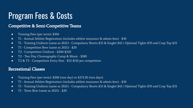# Program Fees & Costs

#### Competitive & Semi-Competitive Teams

- Training Fees (per term): \$304
- T1 Annual Athlete Registration (includes athlete insurance & admin fees) \$30
- T1 Training Uniform (same as 2021) Compulsory Shorts \$35 & Singlet \$45 / Optional Tights \$70 and Crop Top \$35
- T1 Competition Bow (same as 2021) \$20
- T2 Competition Uniform \$200-\$250
- T2 Two Day Choreography Camp & Music \$180
- T2 & T3 Competition Entry Fees \$55-\$110 per competition

#### Recreational Classes

- Training Fees (per term): \$200 (one day) or \$275.50 (two days)
- T1 Annual Athlete Registration (includes athlete insurance & admin fees) \$30
- T1 Training Uniform (same as 2021) Compulsory Shorts \$35 & Singlet \$45 / Optional Tights \$70 and Crop Top \$35
- $\bullet$  T1 Team Bow (same as 2021) \$20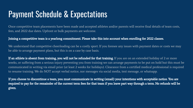# Payment Schedule & Expectations

Once competitive team placements have been made and accepted athletes and/or parents will receive final details of team costs, fees, and 2022 due dates. Upfront or bulk payments are welcome.

#### Joining a competitive team is a yearlong commitment. Please take this into account when enrolling for 2022 classes.

We understand that competitive cheerleading can be a costly sport. If you foresee any issues with payment dates or costs we may be able to arrange payment plans, but this is on a case by case basis.

If an athlete is absent from training, you will not be refunded for that training. If you are on an extended holiday of 2 or more weeks, or suffering from a serious injury preventing you from training we can arrange payments to be put on hold but this must be communicated in writing via email prior (at least 2 weeks for holidays). Clearance from a certified medical professional is required to resume training. We do NOT accept verbal notice, nor messages via social media, text message, or whatsapp.

If you choose to discontinue a team, you must communicate in writing (email) your intentions with acceptable notice. You are required to pay for the remainder of the current term fees for that team if you leave part way through a term. No refunds will be given.